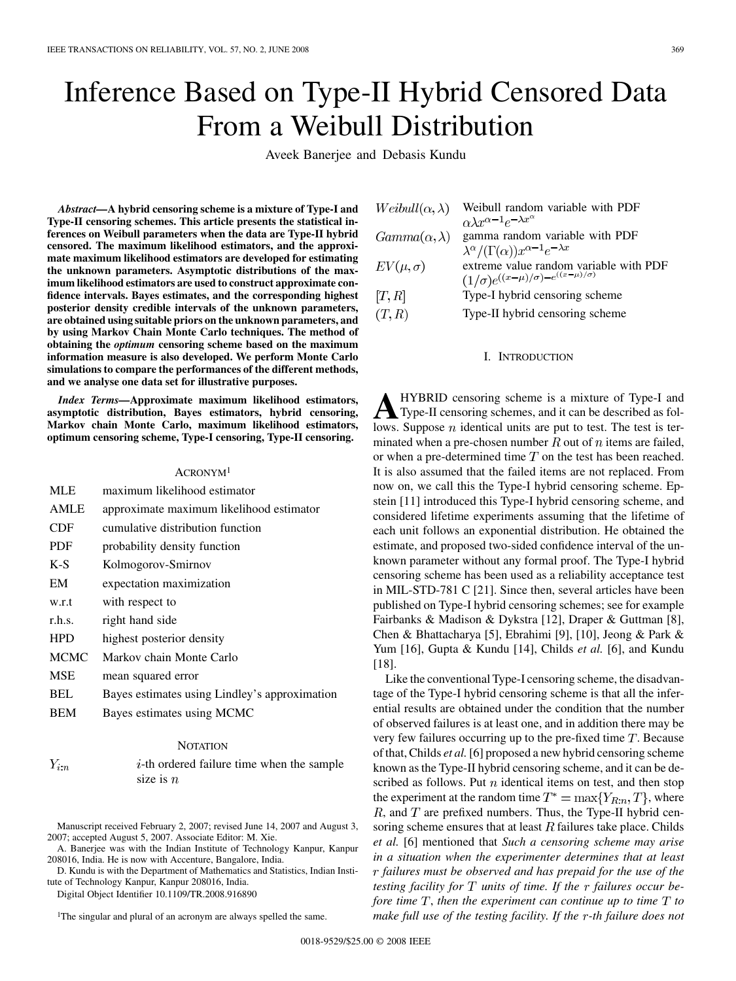# Inference Based on Type-II Hybrid Censored Data From a Weibull Distribution

Aveek Banerjee and Debasis Kundu

*Abstract—***A hybrid censoring scheme is a mixture of Type-I and Type-II censoring schemes. This article presents the statistical inferences on Weibull parameters when the data are Type-II hybrid censored. The maximum likelihood estimators, and the approximate maximum likelihood estimators are developed for estimating the unknown parameters. Asymptotic distributions of the maximum likelihood estimators are used to construct approximate confidence intervals. Bayes estimates, and the corresponding highest posterior density credible intervals of the unknown parameters, are obtained using suitable priors on the unknown parameters, and by using Markov Chain Monte Carlo techniques. The method of obtaining the** *optimum* **censoring scheme based on the maximum information measure is also developed. We perform Monte Carlo simulations to compare the performances of the different methods, and we analyse one data set for illustrative purposes.**

*Index Terms—***Approximate maximum likelihood estimators, asymptotic distribution, Bayes estimators, hybrid censoring, Markov chain Monte Carlo, maximum likelihood estimators, optimum censoring scheme, Type-I censoring, Type-II censoring.**

## ACRONYM1

| MLE         | maximum likelihood estimator                  |
|-------------|-----------------------------------------------|
| <b>AMLE</b> | approximate maximum likelihood estimator      |
| <b>CDF</b>  | cumulative distribution function              |
| <b>PDF</b>  | probability density function                  |
| $K-S$       | Kolmogorov-Smirnov                            |
| EM          | expectation maximization                      |
| w.r.t       | with respect to                               |
| r.h.s.      | right hand side                               |
| <b>HPD</b>  | highest posterior density                     |
| <b>MCMC</b> | Markov chain Monte Carlo                      |
| <b>MSE</b>  | mean squared error                            |
| <b>BEL</b>  | Bayes estimates using Lindley's approximation |
| BEM         | Bayes estimates using MCMC                    |

## **NOTATION**

 $Y_{i:n}$  $i$ -th ordered failure time when the sample size is  $n$ 

Manuscript received February 2, 2007; revised June 14, 2007 and August 3, 2007; accepted August 5, 2007. Associate Editor: M. Xie.

A. Banerjee was with the Indian Institute of Technology Kanpur, Kanpur 208016, India. He is now with Accenture, Bangalore, India.

D. Kundu is with the Department of Mathematics and Statistics, Indian Institute of Technology Kanpur, Kanpur 208016, India.

Digital Object Identifier 10.1109/TR.2008.916890

<sup>1</sup>The singular and plural of an acronym are always spelled the same.

| $Weibull(\alpha, \lambda)$ | Weibull random variable with PDF<br>$\alpha \lambda x^{\alpha-1} e^{-\lambda x^{\alpha}}$       |
|----------------------------|-------------------------------------------------------------------------------------------------|
| $Gamma(\alpha, \lambda)$   | gamma random variable with PDF                                                                  |
|                            | $\lambda^{\alpha}/(\Gamma(\alpha))x^{\alpha-1}e^{-\lambda x}$                                   |
| $EV(\mu, \sigma)$          | extreme value random variable with PDF<br>$(1/\sigma)e^{((x-\mu)/\sigma)-e^{((x-\mu)/\sigma)}}$ |
| [T, R]                     | Type-I hybrid censoring scheme                                                                  |
| (T,R)                      | Type-II hybrid censoring scheme                                                                 |

# I. INTRODUCTION

**A** HYBRID censoring scheme is a mixture of Type-I and Type-II censoring schemes, and it can be described as follows. Suppose  $n$  identical units are put to test. The test is terminated when a pre-chosen number  $R$  out of  $n$  items are failed, or when a pre-determined time  $T$  on the test has been reached. It is also assumed that the failed items are not replaced. From now on, we call this the Type-I hybrid censoring scheme. Epstein [11] introduced this Type-I hybrid censoring scheme, and considered lifetime experiments assuming that the lifetime of each unit follows an exponential distribution. He obtained the estimate, and proposed two-sided confidence interval of the unknown parameter without any formal proof. The Type-I hybrid censoring scheme has been used as a reliability acceptance test in MIL-STD-781 C [21]. Since then, several articles have been published on Type-I hybrid censoring schemes; see for example Fairbanks & Madison & Dykstra [12], Draper & Guttman [8], Chen & Bhattacharya [5], Ebrahimi [9], [10], Jeong & Park & Yum [16], Gupta & Kundu [14], Childs *et al.* [6], and Kundu [18].

Like the conventional Type-I censoring scheme, the disadvantage of the Type-I hybrid censoring scheme is that all the inferential results are obtained under the condition that the number of observed failures is at least one, and in addition there may be very few failures occurring up to the pre-fixed time  $T$ . Because of that, Childs *et al.*[6] proposed a new hybrid censoring scheme known as the Type-II hybrid censoring scheme, and it can be described as follows. Put  $n$  identical items on test, and then stop the experiment at the random time  $T^* = \max\{Y_{R:n}, T\}$ , where  $R$ , and  $T$  are prefixed numbers. Thus, the Type-II hybrid censoring scheme ensures that at least  $R$  failures take place. Childs *et al.* [6] mentioned that *Such a censoring scheme may arise in a situation when the experimenter determines that at least failures must be observed and has prepaid for the use of the testing facility for units of time. If the failures occur before time*  $T$ , *then the experiment can continue up to time*  $T$  *to make full use of the testing facility. If the r-th failure does not*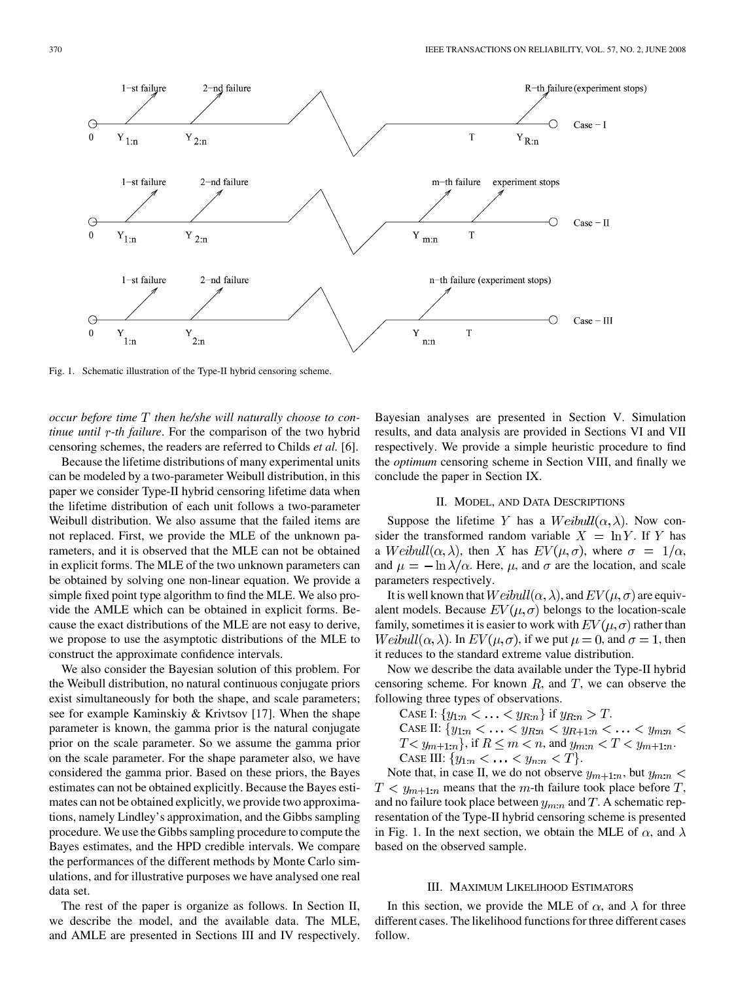

Fig. 1. Schematic illustration of the Type-II hybrid censoring scheme.

*occur before time then he/she will naturally choose to continue until r-th failure*. For the comparison of the two hybrid censoring schemes, the readers are referred to Childs *et al.* [6].

Because the lifetime distributions of many experimental units can be modeled by a two-parameter Weibull distribution, in this paper we consider Type-II hybrid censoring lifetime data when the lifetime distribution of each unit follows a two-parameter Weibull distribution. We also assume that the failed items are not replaced. First, we provide the MLE of the unknown parameters, and it is observed that the MLE can not be obtained in explicit forms. The MLE of the two unknown parameters can be obtained by solving one non-linear equation. We provide a simple fixed point type algorithm to find the MLE. We also provide the AMLE which can be obtained in explicit forms. Because the exact distributions of the MLE are not easy to derive, we propose to use the asymptotic distributions of the MLE to construct the approximate confidence intervals.

We also consider the Bayesian solution of this problem. For the Weibull distribution, no natural continuous conjugate priors exist simultaneously for both the shape, and scale parameters; see for example Kaminskiy & Krivtsov [17]. When the shape parameter is known, the gamma prior is the natural conjugate prior on the scale parameter. So we assume the gamma prior on the scale parameter. For the shape parameter also, we have considered the gamma prior. Based on these priors, the Bayes estimates can not be obtained explicitly. Because the Bayes estimates can not be obtained explicitly, we provide two approximations, namely Lindley's approximation, and the Gibbs sampling procedure. We use the Gibbs sampling procedure to compute the Bayes estimates, and the HPD credible intervals. We compare the performances of the different methods by Monte Carlo simulations, and for illustrative purposes we have analysed one real data set.

The rest of the paper is organize as follows. In Section II, we describe the model, and the available data. The MLE, and AMLE are presented in Sections III and IV respectively. Bayesian analyses are presented in Section V. Simulation results, and data analysis are provided in Sections VI and VII respectively. We provide a simple heuristic procedure to find the *optimum* censoring scheme in Section VIII, and finally we conclude the paper in Section IX.

# II. MODEL, AND DATA DESCRIPTIONS

Suppose the lifetime Y has a  $Weibull(\alpha, \lambda)$ . Now consider the transformed random variable  $X = \ln Y$ . If Y has a  $Weibull(\alpha, \lambda)$ , then X has  $EV(\mu, \sigma)$ , where  $\sigma = 1/\alpha$ , and  $\mu = -\ln \lambda/\alpha$ . Here,  $\mu$ , and  $\sigma$  are the location, and scale parameters respectively.

It is well known that  $Weibull(\alpha, \lambda)$ , and  $EV(\mu, \sigma)$  are equivalent models. Because  $EV(\mu, \sigma)$  belongs to the location-scale family, sometimes it is easier to work with  $EV(\mu, \sigma)$  rather than  $Weibull(\alpha, \lambda)$ . In  $EV(\mu, \sigma)$ , if we put  $\mu = 0$ , and  $\sigma = 1$ , then it reduces to the standard extreme value distribution.

Now we describe the data available under the Type-II hybrid censoring scheme. For known  $R$ , and  $T$ , we can observe the following three types of observations.

CASE I:  $\{y_{1:n} < \ldots < y_{R:n}\}\$ if  $y_{R:n} > T$ . CASE II:  $\{y_{1:n} < \ldots < y_{R:n} < y_{R+1:n} < \ldots < y_{m:n} <$  $T < y_{m+1:n}$ , if  $R \le m < n$ , and  $y_{m:n} < T < y_{m+1:n}$ . CASE III:  $\{y_{1:n} < \ldots < y_{n:n} < T\}.$ 

Note that, in case II, we do not observe  $y_{m+1:n}$ , but  $y_{m:n}$  <  $T < y_{m+1:n}$  means that the m-th failure took place before T, and no failure took place between  $y_{m:n}$  and  $T$ . A schematic representation of the Type-II hybrid censoring scheme is presented in Fig. 1. In the next section, we obtain the MLE of  $\alpha$ , and  $\lambda$ based on the observed sample.

# III. MAXIMUM LIKELIHOOD ESTIMATORS

In this section, we provide the MLE of  $\alpha$ , and  $\lambda$  for three different cases. The likelihood functions for three different cases follow.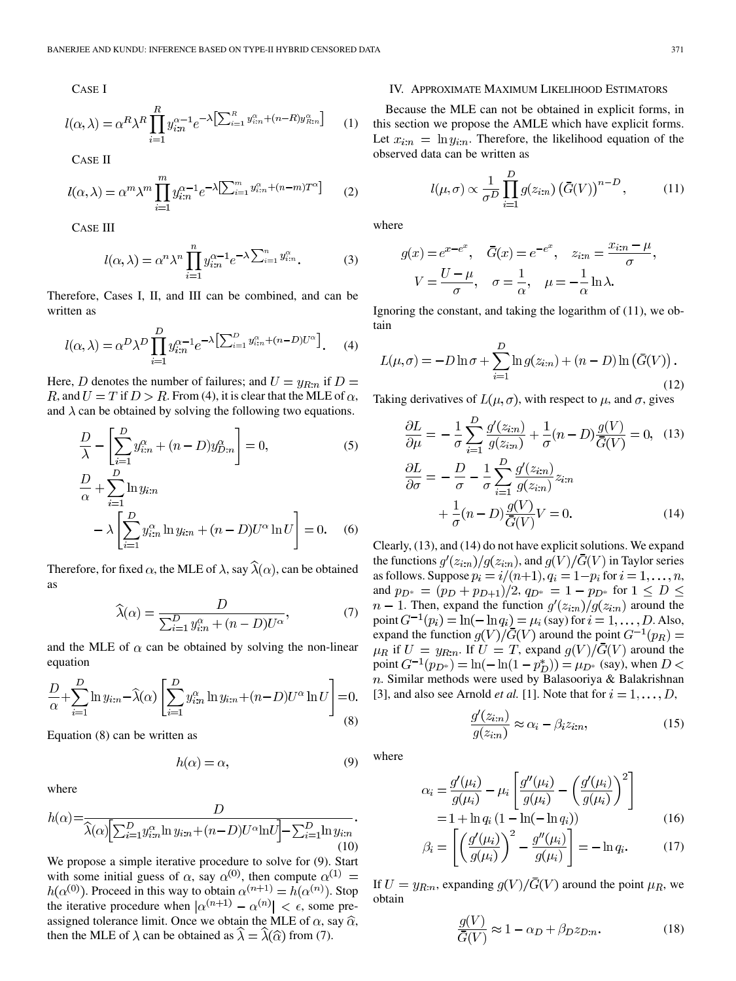CASE I

$$
l(\alpha,\lambda) = \alpha^R \lambda^R \prod_{i=1}^R y_{i:n}^{\alpha-1} e^{-\lambda \left[ \sum_{i=1}^R y_{i:n}^{\alpha} + (n-R)y_{R:n}^{\alpha} \right]} \qquad (1
$$

CASE II

$$
l(\alpha,\lambda) = \alpha^m \lambda^m \prod_{i=1}^m y_{i:n}^{\alpha-1} e^{-\lambda \left[\sum_{i=1}^m y_{i:n}^{\alpha} + (n-m)T^{\alpha}\right]} \tag{2}
$$

CASE III

$$
l(\alpha,\lambda) = \alpha^n \lambda^n \prod_{i=1}^n y_{i:n}^{\alpha-1} e^{-\lambda \sum_{i=1}^n y_{i:n}^{\alpha}}.
$$
 (3)

Therefore, Cases I, II, and III can be combined, and can be written as

$$
l(\alpha,\lambda) = \alpha^D \lambda^D \prod_{i=1}^D y_{i:n}^{\alpha-1} e^{-\lambda \left[\sum_{i=1}^D y_{i:n}^{\alpha} + (n-D)U^{\alpha}\right]}.
$$
 (4)

Here, D denotes the number of failures; and  $U = y_{R:n}$  if  $D =$ R, and  $U = T$  if  $D > R$ . From (4), it is clear that the MLE of  $\alpha$ , and  $\lambda$  can be obtained by solving the following two equations.

$$
\frac{D}{\lambda} - \left[\sum_{i=1}^{D} y_{i:n}^{\alpha} + (n - D)y_{D:n}^{\alpha}\right] = 0,
$$
\n
$$
\frac{D}{\alpha} + \sum_{i=1}^{D} \ln y_{i:n}
$$
\n
$$
- \lambda \left[\sum_{i=1}^{D} y_{i:n}^{\alpha} \ln y_{i:n} + (n - D)U^{\alpha} \ln U\right] = 0.
$$
\n(6)

Therefore, for fixed  $\alpha$ , the MLE of  $\lambda$ , say  $\widehat{\lambda}(\alpha)$ , can be obtained as

$$
\widehat{\lambda}(\alpha) = \frac{D}{\sum_{i=1}^{D} y_{in}^{\alpha} + (n - D)U^{\alpha}},\tag{7}
$$

and the MLE of  $\alpha$  can be obtained by solving the non-linear equation

$$
\frac{D}{\alpha} + \sum_{i=1}^{D} \ln y_{i:n} - \widehat{\lambda}(\alpha) \left[ \sum_{i=1}^{D} y_{i:n}^{\alpha} \ln y_{i:n} + (n - D)U^{\alpha} \ln U \right] = 0.
$$
\n(8)

Equation (8) can be written as

$$
h(\alpha) = \alpha,\tag{9}
$$

where

$$
h(\alpha) = \frac{D}{\widehat{\lambda}(\alpha) \Big[ \sum_{i=1}^{D} y_{i:n}^{\alpha} \ln y_{i:n} + (n-D)U^{\alpha} \ln U \Big] - \sum_{i=1}^{D} \ln y_{i:n}}.
$$
\n(10)

We propose a simple iterative procedure to solve for (9). Start with some initial guess of  $\alpha$ , say  $\alpha^{(0)}$ , then compute . Proceed in this way to obtain  $\alpha^{(n+1)} = h(\alpha^{(n)})$ . Stop the iterative procedure when  $|\alpha^{(n+1)} - \alpha^{(n)}| < \epsilon$ , some preassigned tolerance limit. Once we obtain the MLE of  $\alpha$ , say  $\hat{\alpha}$ , then the MLE of  $\lambda$  can be obtained as  $\hat{\lambda} = \hat{\lambda}(\hat{\alpha})$  from (7).

## IV. APPROXIMATE MAXIMUM LIKELIHOOD ESTIMATORS

(1) this section we propose the AMLE which have explicit forms. Because the MLE can not be obtained in explicit forms, in Let  $x_{i:n} = \ln y_{i:n}$ . Therefore, the likelihood equation of the observed data can be written as

$$
l(\mu, \sigma) \propto \frac{1}{\sigma^D} \prod_{i=1}^D g(z_{i:n}) \left(\bar{G}(V)\right)^{n-D}, \qquad (11)
$$

where

$$
g(x) = e^{x - e^x}, \quad \bar{G}(x) = e^{-e^x}, \quad z_{i:n} = \frac{x_{i:n} - \mu}{\sigma},
$$

$$
V = \frac{U - \mu}{\sigma}, \quad \sigma = \frac{1}{\alpha}, \quad \mu = -\frac{1}{\alpha} \ln \lambda.
$$

Ignoring the constant, and taking the logarithm of (11), we obtain

$$
L(\mu, \sigma) = -D \ln \sigma + \sum_{i=1}^{D} \ln g(z_{i:n}) + (n - D) \ln (\bar{G}(V)).
$$
\n(12)

Taking derivatives of  $L(\mu, \sigma)$ , with respect to  $\mu$ , and  $\sigma$ , gives

$$
\frac{\partial L}{\partial \mu} = -\frac{1}{\sigma} \sum_{i=1}^{D} \frac{g'(z_{i:n})}{g(z_{i:n})} + \frac{1}{\sigma} (n - D) \frac{g(V)}{\overline{G}(V)} = 0, \quad (13)
$$

$$
\frac{\partial L}{\partial \sigma} = -\frac{D}{\sigma} - \frac{1}{\sigma} \sum_{i=1}^{D} \frac{g'(z_{i:n})}{g(z_{i:n})} z_{i:n}
$$

$$
+ \frac{1}{\sigma} (n - D) \frac{g(V)}{\overline{G}(V)} V = 0. \quad (14)
$$

Clearly, (13), and (14) do not have explicit solutions. We expand the functions  $g'(z_{i:n})/g(z_{i:n})$ , and  $g(V)/\overline{G}(V)$  in Taylor series as follows. Suppose  $p_i = i/(n+1), q_i = 1-p_i$  for  $i = 1, ..., n$ , and  $p_{D^*} = (p_D + p_{D+1})/2$ ,  $q_{D^*} = 1 - p_{D^*}$  for  $1 \le D \le$  $n-1$ . Then, expand the function  $g'(z_{i:n})/g(z_{i:n})$  around the point  $G^{-1}(p_i) = \ln(-\ln q_i) = \mu_i$  (say) for  $i = 1, \ldots, D$ . Also, expand the function  $g(V)/G(V)$  around the point  $\mu_R$  if  $U = y_{R:n}$ . If  $U = T$ , expand  $g(V)/\bar{G}(V)$  around the point  $G^{-1}(p_{D^*}) = \ln(-\ln(1-p_D^*)) = \mu_{D^*}$  (say), when  $D <$ n. Similar methods were used by Balasooriya & Balakrishnan [3], and also see Arnold *et al.* [1]. Note that for  $i = 1, \ldots, D$ ,

$$
\frac{g'(z_{i:n})}{g(z_{i:n})} \approx \alpha_i - \beta_i z_{i:n},\tag{15}
$$

where

$$
\alpha_i = \frac{g'(\mu_i)}{g(\mu_i)} - \mu_i \left[ \frac{g''(\mu_i)}{g(\mu_i)} - \left( \frac{g'(\mu_i)}{g(\mu_i)} \right)^2 \right] \n= 1 + \ln q_i (1 - \ln(-\ln q_i))
$$
\n(16)

$$
\beta_i = \left[ \left( \frac{g'(\mu_i)}{g(\mu_i)} \right)^2 - \frac{g''(\mu_i)}{g(\mu_i)} \right] = -\ln q_i. \tag{17}
$$

If  $U = y_{R:n}$ , expanding  $g(V)/\bar{G}(V)$  around the point  $\mu_R$ , we obtain

$$
\frac{g(V)}{\overline{G}(V)} \approx 1 - \alpha_D + \beta_D z_{D:n}.
$$
\n(18)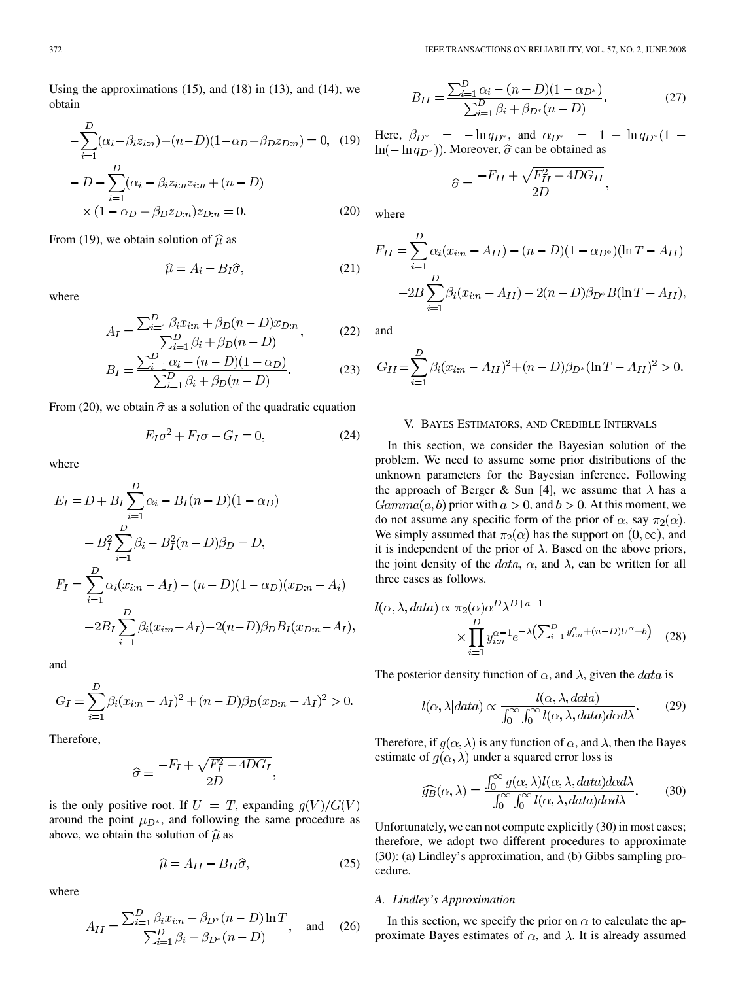Using the approximations  $(15)$ , and  $(18)$  in  $(13)$ , and  $(14)$ , we obtain

$$
-\sum_{i=1}^{D} (\alpha_i - \beta_i z_{i:n}) + (n - D)(1 - \alpha_D + \beta_D z_{D:n}) = 0, \quad (19)
$$

$$
-D - \sum_{i=1}^{D} (\alpha_i - \beta_i z_{i:n} z_{i:n} + (n - D)
$$

$$
\times (1 - \alpha_D + \beta_D z_{D:n}) z_{D:n} = 0. \tag{20}
$$

From (19), we obtain solution of  $\hat{\mu}$  as

$$
\widehat{\mu} = A_i - B_I \widehat{\sigma},\tag{21}
$$

where

$$
A_{I} = \frac{\sum_{i=1}^{D} \beta_{i} x_{i:n} + \beta_{D} (n-D) x_{D:n}}{\sum_{i=1}^{D} \beta_{i} + \beta_{D} (n-D)},
$$
(22)

$$
B_I = \frac{\sum_{i=1}^{D} \alpha_i - (n - D)(1 - \alpha_D)}{\sum_{i=1}^{D} \beta_i + \beta_D(n - D)}.
$$
 (23)

From (20), we obtain  $\hat{\sigma}$  as a solution of the quadratic equation

$$
E_I \sigma^2 + F_I \sigma - G_I = 0,\t\t(24)
$$

where

$$
E_I = D + B_I \sum_{i=1}^{D} \alpha_i - B_I (n - D)(1 - \alpha_D)
$$
  

$$
- B_I^2 \sum_{i=1}^{D} \beta_i - B_I^2 (n - D)\beta_D = D,
$$
  

$$
F_I = \sum_{i=1}^{D} \alpha_i (x_{i:n} - A_I) - (n - D)(1 - \alpha_D)(x_{D:n} - A_i)
$$
  

$$
-2B_I \sum_{i=1}^{D} \beta_i (x_{i:n} - A_I) - 2(n - D)\beta_D B_I (x_{D:n} - A_I),
$$

and

$$
G_I = \sum_{i=1}^{D} \beta_i (x_{i:n} - A_I)^2 + (n - D)\beta_D (x_{D:n} - A_I)^2 > 0.
$$

Therefore,

$$
\hat{\sigma} = \frac{-F_I + \sqrt{F_I^2 + 4DG_I}}{2D}
$$

is the only positive root. If  $U = T$ , expanding  $q(V)/\bar{G}(V)$ around the point  $\mu_{D^*}$ , and following the same procedure as above, we obtain the solution of  $\hat{\mu}$  as

$$
\widehat{\mu} = A_{II} - B_{II}\widehat{\sigma},\tag{25}
$$

where

$$
A_{II} = \frac{\sum_{i=1}^{D} \beta_i x_{i:n} + \beta_{D^*}(n-D) \ln T}{\sum_{i=1}^{D} \beta_i + \beta_{D^*}(n-D)}, \text{ and } (26)
$$

$$
B_{II} = \frac{\sum_{i=1}^{D} \alpha_i - (n - D)(1 - \alpha_{D^*})}{\sum_{i=1}^{D} \beta_i + \beta_{D^*} (n - D)}.
$$
 (27)

Here,  $\beta_{D^*} = -\ln q_{D^*}$ , and  $\alpha_{D^*} = 1 + \ln q_{D^*} (1 \ln(-\ln q_{D^*})$ ). Moreover,  $\hat{\sigma}$  can be obtained as

$$
\hat{\sigma} = \frac{-F_{II} + \sqrt{F_{II}^2 + 4DG_{II}}}{2D},
$$

where

$$
F_{II} = \sum_{i=1}^{D} \alpha_i (x_{i:n} - A_{II}) - (n - D)(1 - \alpha_{D^*})(\ln T - A_{II})
$$

$$
-2B \sum_{i=1}^{D} \beta_i (x_{i:n} - A_{II}) - 2(n - D)\beta_{D^*}B(\ln T - A_{II}),
$$

and

$$
G_{II} = \sum_{i=1}^{D} \beta_i (x_{i:n} - A_{II})^2 + (n - D)\beta_{D^*} (\ln T - A_{II})^2 > 0.
$$

### V. BAYES ESTIMATORS, AND CREDIBLE INTERVALS

In this section, we consider the Bayesian solution of the problem. We need to assume some prior distributions of the unknown parameters for the Bayesian inference. Following the approach of Berger & Sun [4], we assume that  $\lambda$  has a  $Gamma(a, b)$  prior with  $a > 0$ , and  $b > 0$ . At this moment, we do not assume any specific form of the prior of  $\alpha$ , say  $\pi_2(\alpha)$ . We simply assumed that  $\pi_2(\alpha)$  has the support on  $(0, \infty)$ , and it is independent of the prior of  $\lambda$ . Based on the above priors, the joint density of the  $data$ ,  $\alpha$ , and  $\lambda$ , can be written for all three cases as follows.

$$
l(\alpha, \lambda, data) \propto \pi_2(\alpha) \alpha^D \lambda^{D+a-1}
$$

$$
\times \prod_{i=1}^D y_{i:n}^{\alpha-1} e^{-\lambda \left(\sum_{i=1}^D y_{i:n}^{\alpha} + (n-D)U^{\alpha} + b\right)} \quad (28)
$$

The posterior density function of  $\alpha$ , and  $\lambda$ , given the *data* is

$$
l(\alpha, \lambda|data) \propto \frac{l(\alpha, \lambda, data)}{\int_0^\infty \int_0^\infty l(\alpha, \lambda, data) d\alpha d\lambda}.
$$
 (29)

Therefore, if  $g(\alpha, \lambda)$  is any function of  $\alpha$ , and  $\lambda$ , then the Bayes estimate of  $q(\alpha, \lambda)$  under a squared error loss is

$$
\widehat{g_B}(\alpha,\lambda) = \frac{\int_0^\infty g(\alpha,\lambda) l(\alpha,\lambda, data) d\alpha d\lambda}{\int_0^\infty \int_0^\infty l(\alpha,\lambda, data) d\alpha d\lambda}.
$$
 (30)

Unfortunately, we can not compute explicitly (30) in most cases; therefore, we adopt two different procedures to approximate (30): (a) Lindley's approximation, and (b) Gibbs sampling procedure.

# *A. Lindley's Approximation*

In this section, we specify the prior on  $\alpha$  to calculate the approximate Bayes estimates of  $\alpha$ , and  $\lambda$ . It is already assumed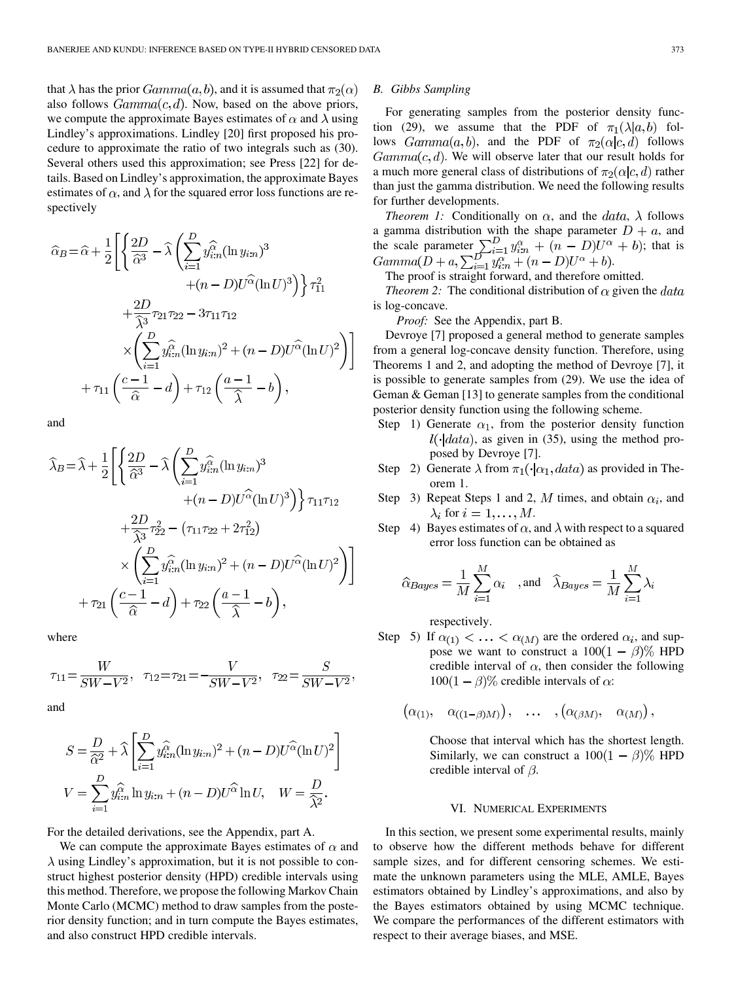that  $\lambda$  has the prior  $Gamma(a, b)$ , and it is assumed that  $\pi_2(\alpha)$ also follows  $Gamma(c, d)$ . Now, based on the above priors, we compute the approximate Bayes estimates of  $\alpha$  and  $\lambda$  using Lindley's approximations. Lindley [20] first proposed his procedure to approximate the ratio of two integrals such as (30). Several others used this approximation; see Press [22] for details. Based on Lindley's approximation, the approximate Bayes estimates of  $\alpha$ , and  $\lambda$  for the squared error loss functions are respectively

$$
\widehat{\alpha}_{B} = \widehat{\alpha} + \frac{1}{2} \left[ \left\{ \frac{2D}{\widehat{\alpha}^{3}} - \widehat{\lambda} \left( \sum_{i=1}^{D} y_{i:n}^{\widehat{\alpha}} (\ln y_{i:n})^{3} + (n - D)U^{\widehat{\alpha}} (\ln U)^{3} \right) \right\} \tau_{11}^{2} + \frac{2D}{\widehat{\lambda}^{3}} \tau_{21} \tau_{22} - 3\tau_{11} \tau_{12} \times \left( \sum_{i=1}^{D} y_{i:n}^{\widehat{\alpha}} (\ln y_{i:n})^{2} + (n - D)U^{\widehat{\alpha}} (\ln U)^{2} \right) \right] + \tau_{11} \left( \frac{c - 1}{\widehat{\alpha}} - d \right) + \tau_{12} \left( \frac{a - 1}{\widehat{\lambda}} - b \right),
$$

and

$$
\hat{\lambda}_B = \hat{\lambda} + \frac{1}{2} \left[ \left\{ \frac{2D}{\hat{\alpha}^3} - \hat{\lambda} \left( \sum_{i=1}^D y_{i:n}^{\hat{\alpha}} (\ln y_{i:n})^3 + (n - D)U^{\hat{\alpha}} (\ln U)^3 \right) \right\} \tau_{11}\tau_{12} + \frac{2D}{\hat{\lambda}^3} \tau_{22}^2 - (\tau_{11}\tau_{22} + 2\tau_{12}^2) \times \left( \sum_{i=1}^D y_{i:n}^{\hat{\alpha}} (\ln y_{i:n})^2 + (n - D)U^{\hat{\alpha}} (\ln U)^2 \right) \right] + \tau_{21} \left( \frac{c-1}{\hat{\alpha}} - d \right) + \tau_{22} \left( \frac{a-1}{\hat{\lambda}} - b \right),
$$

where

$$
\tau_{11} = \frac{W}{SW - V^2}, \quad \tau_{12} = \tau_{21} = -\frac{V}{SW - V^2}, \quad \tau_{22} = \frac{S}{SW - V^2},
$$

and

$$
S = \frac{D}{\hat{\alpha}^2} + \hat{\lambda} \left[ \sum_{i=1}^D y_{i:n}^{\hat{\alpha}} (\ln y_{i:n})^2 + (n - D)U^{\hat{\alpha}} (\ln U)^2 \right]
$$
  

$$
V = \sum_{i=1}^D y_{i:n}^{\hat{\alpha}} \ln y_{i:n} + (n - D)U^{\hat{\alpha}} \ln U, \quad W = \frac{D}{\hat{\lambda}^2}.
$$

For the detailed derivations, see the Appendix, part A.

We can compute the approximate Bayes estimates of  $\alpha$  and  $\lambda$  using Lindley's approximation, but it is not possible to construct highest posterior density (HPD) credible intervals using this method. Therefore, we propose the following Markov Chain Monte Carlo (MCMC) method to draw samples from the posterior density function; and in turn compute the Bayes estimates, and also construct HPD credible intervals.

## *B. Gibbs Sampling*

For generating samples from the posterior density function (29), we assume that the PDF of  $\pi_1(\lambda|a, b)$  follows  $Gamma(a, b)$ , and the PDF of  $\pi_2(\alpha|c, d)$  follows  $Gamma(c, d)$ . We will observe later that our result holds for a much more general class of distributions of  $\pi_2(\alpha|c,d)$  rather than just the gamma distribution. We need the following results for further developments.

*Theorem 1:* Conditionally on  $\alpha$ , and the *data*,  $\lambda$  follows a gamma distribution with the shape parameter  $D + a$ , and the scale parameter  $\sum_{i=1}^{D} y_{i:n}^{\alpha} + (n - D)U^{\alpha} + b$ ; that is .

The proof is straight forward, and therefore omitted.

*Theorem 2:* The conditional distribution of  $\alpha$  given the *data* is log-concave.

*Proof:* See the Appendix, part B.

Devroye [7] proposed a general method to generate samples from a general log-concave density function. Therefore, using Theorems 1 and 2, and adopting the method of Devroye [7], it is possible to generate samples from (29). We use the idea of Geman & Geman [13] to generate samples from the conditional posterior density function using the following scheme.

- Step 1) Generate  $\alpha_1$ , from the posterior density function  $l(\cdot|data)$ , as given in (35), using the method proposed by Devroye [7].
- Step 2) Generate  $\lambda$  from  $\pi_1(\cdot|\alpha_1, data)$  as provided in Theorem 1.
- Step 3) Repeat Steps 1 and 2, M times, and obtain  $\alpha_i$ , and  $\lambda_i$  for  $i=1,\ldots,M$ .
- Step 4) Bayes estimates of  $\alpha$ , and  $\lambda$  with respect to a squared error loss function can be obtained as

$$
\widehat{\alpha}_{Bayes} = \frac{1}{M} \sum_{i=1}^{M} \alpha_i \quad \text{, and} \quad \widehat{\lambda}_{Bayes} = \frac{1}{M} \sum_{i=1}^{M} \lambda_i
$$

respectively.

Step 5) If  $\alpha_{(1)} < \ldots < \alpha_{(M)}$  are the ordered  $\alpha_i$ , and suppose we want to construct a  $100(1 - \beta)\%$  HPD credible interval of  $\alpha$ , then consider the following  $100(1 - \beta)\%$  credible intervals of  $\alpha$ :

$$
(\alpha_{(1)}, \alpha_{((1-\beta)M)})\,, \dots \,, (\alpha_{(\beta M)}, \alpha_{(M)})\,,
$$

Choose that interval which has the shortest length. Similarly, we can construct a  $100(1 - \beta)$ % HPD credible interval of  $\beta$ .

# VI. NUMERICAL EXPERIMENTS

In this section, we present some experimental results, mainly to observe how the different methods behave for different sample sizes, and for different censoring schemes. We estimate the unknown parameters using the MLE, AMLE, Bayes estimators obtained by Lindley's approximations, and also by the Bayes estimators obtained by using MCMC technique. We compare the performances of the different estimators with respect to their average biases, and MSE.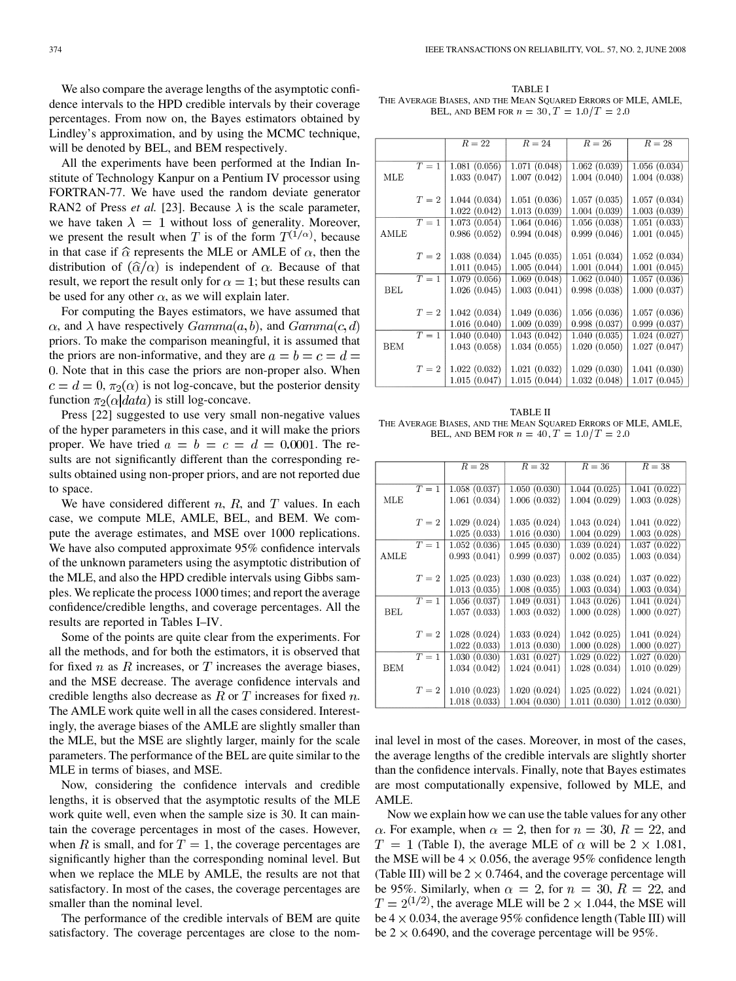We also compare the average lengths of the asymptotic confidence intervals to the HPD credible intervals by their coverage percentages. From now on, the Bayes estimators obtained by Lindley's approximation, and by using the MCMC technique, will be denoted by BEL, and BEM respectively.

All the experiments have been performed at the Indian Institute of Technology Kanpur on a Pentium IV processor using FORTRAN-77. We have used the random deviate generator RAN2 of Press *et al.* [23]. Because  $\lambda$  is the scale parameter, we have taken  $\lambda = 1$  without loss of generality. Moreover, we present the result when T is of the form  $T^{(1/\alpha)}$ , because in that case if  $\hat{\alpha}$  represents the MLE or AMLE of  $\alpha$ , then the distribution of  $(\hat{\alpha}/\alpha)$  is independent of  $\alpha$ . Because of that result, we report the result only for  $\alpha = 1$ ; but these results can be used for any other  $\alpha$ , as we will explain later.

For computing the Bayes estimators, we have assumed that  $\alpha$ , and  $\lambda$  have respectively  $Gamma(a, b)$ , and  $Gamma(c, d)$ priors. To make the comparison meaningful, it is assumed that the priors are non-informative, and they are  $a = b = c = d$ . Note that in this case the priors are non-proper also. When  $c = d = 0$ ,  $\pi_2(\alpha)$  is not log-concave, but the posterior density function  $\pi_2(\alpha|data)$  is still log-concave.

Press [22] suggested to use very small non-negative values of the hyper parameters in this case, and it will make the priors proper. We have tried  $a = b = c = d = 0.0001$ . The results are not significantly different than the corresponding results obtained using non-proper priors, and are not reported due to space.

We have considered different  $n$ ,  $R$ , and  $T$  values. In each case, we compute MLE, AMLE, BEL, and BEM. We compute the average estimates, and MSE over 1000 replications. We have also computed approximate 95% confidence intervals of the unknown parameters using the asymptotic distribution of the MLE, and also the HPD credible intervals using Gibbs samples. We replicate the process 1000 times; and report the average confidence/credible lengths, and coverage percentages. All the results are reported in Tables I–IV.

Some of the points are quite clear from the experiments. For all the methods, and for both the estimators, it is observed that for fixed  $n$  as  $R$  increases, or  $T$  increases the average biases, and the MSE decrease. The average confidence intervals and credible lengths also decrease as  $R$  or  $T$  increases for fixed  $n$ . The AMLE work quite well in all the cases considered. Interestingly, the average biases of the AMLE are slightly smaller than the MLE, but the MSE are slightly larger, mainly for the scale parameters. The performance of the BEL are quite similar to the MLE in terms of biases, and MSE.

Now, considering the confidence intervals and credible lengths, it is observed that the asymptotic results of the MLE work quite well, even when the sample size is 30. It can maintain the coverage percentages in most of the cases. However, when R is small, and for  $T = 1$ , the coverage percentages are significantly higher than the corresponding nominal level. But when we replace the MLE by AMLE, the results are not that satisfactory. In most of the cases, the coverage percentages are smaller than the nominal level.

The performance of the credible intervals of BEM are quite satisfactory. The coverage percentages are close to the nom-

TABLE I THE AVERAGE BIASES, AND THE MEAN SQUARED ERRORS OF MLE, AMLE, BEL, AND BEM FOR  $n = 30, T = 1.0/T = 2.0$ 

|            |       | $R=22$       | $R=24$       | $R=26$       | $R=28$       |
|------------|-------|--------------|--------------|--------------|--------------|
|            |       |              |              |              |              |
|            | $T=1$ | 1.081(0.056) | 1.071(0.048) | 1.062(0.039) | 1.056(0.034) |
| MLE        |       | 1.033(0.047) | 1.007(0.042) | 1.004(0.040) | 1.004(0.038) |
|            |       |              |              |              |              |
|            | $T=2$ | 1.044(0.034) | 1.051(0.036) | 1.057(0.035) | 1.057(0.034) |
|            |       | 1.022(0.042) | 1.013(0.039) | 1.004(0.039) | 1.003(0.039) |
|            | $T=1$ | 1.073(0.054) | 1.064(0.046) | 1.056(0.038) | 1.051(0.033) |
| AMLE       |       | 0.986(0.052) | 0.994(0.048) | 0.999(0.046) | 1.001(0.045) |
|            |       |              |              |              |              |
|            | $T=2$ | 1.038(0.034) | 1.045(0.035) | 1.051(0.034) | 1.052(0.034) |
|            |       | 1.011(0.045) | 1.005(0.044) | 1.001(0.044) | 1.001(0.045) |
|            | $T=1$ | 1.079(0.056) | 1.069(0.048) | 1.062(0.040) | 1.057(0.036) |
| <b>BEL</b> |       | 1.026(0.045) | 1.003(0.041) | 0.998(0.038) | 1.000(0.037) |
|            |       |              |              |              |              |
|            | $T=2$ | 1.042(0.034) | 1.049(0.036) | 1.056(0.036) | 1.057(0.036) |
|            |       | 1.016(0.040) | 1.009(0.039) | 0.998(0.037) | 0.999(0.037) |
|            | $T=1$ | 1.040(0.040) | 1.043(0.042) | 1.040(0.035) | 1.024(0.027) |
| <b>BEM</b> |       | 1.043(0.058) | 1.034(0.055) | 1.020(0.050) | 1.027(0.047) |
|            |       |              |              |              |              |
|            | $T=2$ | 1.022(0.032) | 1.021(0.032) | 1.029(0.030) | 1.041(0.030) |
|            |       | 1.015(0.047) | 1.015(0.044) | 1.032(0.048) | 1.017(0.045) |

TABLE II THE AVERAGE BIASES, AND THE MEAN SQUARED ERRORS OF MLE, AMLE, BEL, AND BEM FOR  $n = 40$ ,  $T = 1.0/T = 2.0$ 

|            |       | $R=28$       | $R=32$       | $R=36$       | $R=38$       |
|------------|-------|--------------|--------------|--------------|--------------|
|            |       |              |              |              |              |
|            | $T=1$ | 1.058(0.037) | 1.050(0.030) | 1.044(0.025) | 1.041(0.022) |
| MLE        |       | 1.061(0.034) | 1.006(0.032) | 1.004(0.029) | 1.003(0.028) |
|            |       |              |              |              |              |
|            |       |              |              |              |              |
|            | $T=2$ | 1.029(0.024) | 1.035(0.024) | 1.043(0.024) | 1.041(0.022) |
|            |       | 1.025(0.033) | 1.016(0.030) | 1.004(0.029) | 1.003(0.028) |
|            | $T=1$ | 1.052(0.036) | 1.045(0.030) | 1.039(0.024) | 1.037(0.022) |
| AMLE       |       | 0.993(0.041) | 0.999(0.037) | 0.002(0.035) | 1.003(0.034) |
|            |       |              |              |              |              |
|            | $T=2$ | 1.025(0.023) | 1.030(0.023) | 1.038(0.024) | 1.037(0.022) |
|            |       |              |              |              |              |
|            |       | 1.013(0.035) | 1.008(0.035) | 1.003(0.034) | 1.003(0.034) |
|            | $T=1$ | 1.056(0.037) | 1.049(0.031) | 1.043(0.026) | 1.041(0.024) |
| <b>BEL</b> |       | 1.057(0.033) | 1.003(0.032) | 1.000(0.028) | 1.000(0.027) |
|            |       |              |              |              |              |
|            | $T=2$ | 1.028(0.024) | 1.033(0.024) | 1.042(0.025) | 1.041(0.024) |
|            |       | 1.022(0.033) | 1.013(0.030) | 1.000(0.028) | 1.000(0.027) |
|            | $T=1$ |              |              |              |              |
|            |       | 1.030(0.030) | 1.031(0.027) | 1.029(0.022) | 1.027(0.020) |
| BEM        |       | 1.034(0.042) | 1.024(0.041) | 1.028(0.034) | 1.010(0.029) |
|            |       |              |              |              |              |
|            | $T=2$ | 1.010(0.023) | 1.020(0.024) | 1.025(0.022) | 1.024(0.021) |
|            |       | 1.018(0.033) | 1.004(0.030) | 1.011(0.030) | 1.012(0.030) |
|            |       |              |              |              |              |

inal level in most of the cases. Moreover, in most of the cases, the average lengths of the credible intervals are slightly shorter than the confidence intervals. Finally, note that Bayes estimates are most computationally expensive, followed by MLE, and AMLE.

Now we explain how we can use the table values for any other  $\alpha$ . For example, when  $\alpha = 2$ , then for  $n = 30$ ,  $R = 22$ , and  $T = 1$  (Table I), the average MLE of  $\alpha$  will be  $2 \times 1.081$ , the MSE will be  $4 \times 0.056$ , the average 95% confidence length (Table III) will be  $2 \times 0.7464$ , and the coverage percentage will be 95%. Similarly, when  $\alpha = 2$ , for  $n = 30$ ,  $R = 22$ , and  $T = 2^{(1/2)}$ , the average MLE will be 2 × 1.044, the MSE will be  $4 \times 0.034$ , the average 95% confidence length (Table III) will be  $2 \times 0.6490$ , and the coverage percentage will be 95%.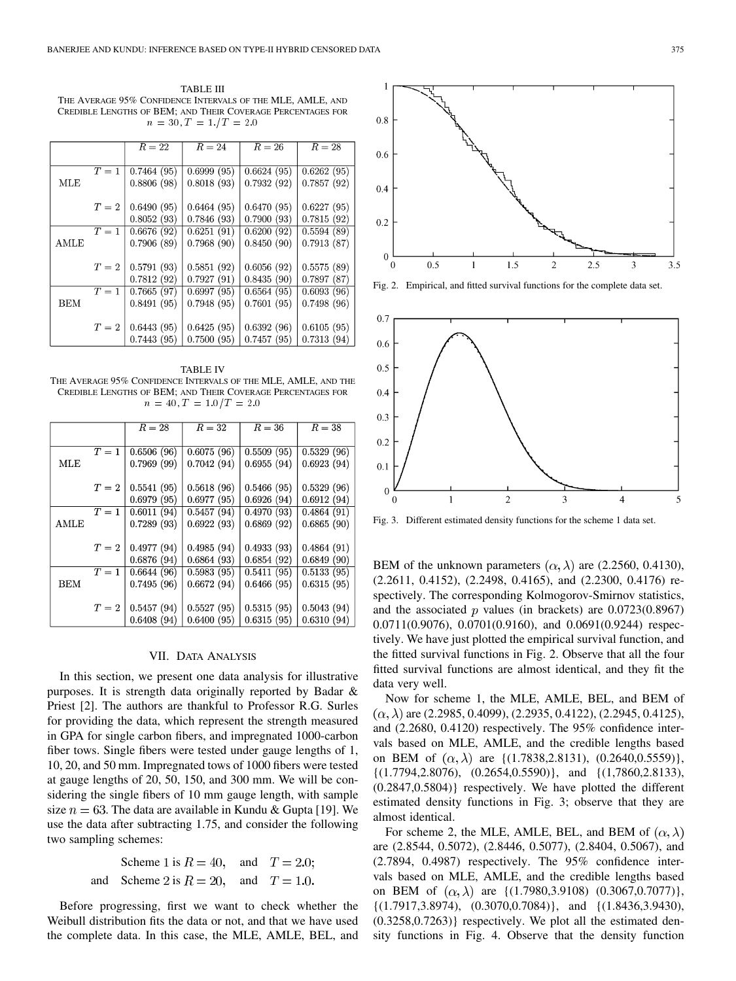TABLE III THE AVERAGE 95% CONFIDENCE INTERVALS OF THE MLE, AMLE, AND CREDIBLE LENGTHS OF BEM; AND THEIR COVERAGE PERCENTAGES FOR  $n = 30, T = 1./T = 2.0$ 

|             |       | $R=22$                     | $R=24$     | $R=26$     | $R=28$     |
|-------------|-------|----------------------------|------------|------------|------------|
|             |       |                            |            |            |            |
|             | $T=1$ | 0.7464(95)                 | 0.6999(95) | 0.6624(95) | 0.6262(95) |
| MLE         |       | 0.8806(98)                 | 0.8018(93) | 0.7932(92) | 0.7857(92) |
|             |       |                            |            |            |            |
|             | $T=2$ | 0.6490(95)                 | 0.6464(95) | 0.6470(95) | 0.6227(95) |
|             |       | 0.8052(93)                 | 0.7846(93) | 0.7900(93) | 0.7815(92) |
|             | $T=1$ | 0.6676(92)                 | 0.6251(91) | 0.6200(92) | 0.5594(89) |
| <b>AMLE</b> |       | 0.7906(89)                 | 0.7968(90) | 0.8450(90) | 0.7913(87) |
|             |       |                            |            |            |            |
|             | $T=2$ | 0.5791(93)                 | 0.5851(92) | 0.6056(92) | 0.5575(89) |
|             |       | 0.7812(92)                 | 0.7927(91) | 0.8435(90) | 0.7897(87) |
|             | $T=1$ | 0.7665(97)                 | 0.6997(95) | 0.6564(95) | 0.6093(96) |
| <b>BEM</b>  |       | 0.8491(95)                 | 0.7948(95) | 0.7601(95) | 0.7498(96) |
|             |       |                            |            |            |            |
|             |       | $T = 2 \mid 0.6443 \ (95)$ | 0.6425(95) | 0.6392(96) | 0.6105(95) |
|             |       | 0.7443(95)                 | 0.7500(95) | 0.7457(95) | 0.7313(94) |

TABLE IV THE AVERAGE 95% CONFIDENCE INTERVALS OF THE MLE, AMLE, AND THE CREDIBLE LENGTHS OF BEM; AND THEIR COVERAGE PERCENTAGES FOR  $n = 40, T = 1.0/T = 2.0$ 

|      |       | $R=28$     | $R=32$     | $R=36$     | $R=38$     |
|------|-------|------------|------------|------------|------------|
|      |       |            |            |            |            |
|      | $T=1$ | 0.6506(96) | 0.6075(96) | 0.5509(95) | 0.5329(96) |
| MLE  |       | 0.7969(99) | 0.7042(94) | 0.6955(94) | 0.6923(94) |
|      |       |            |            |            |            |
|      | $T=2$ | 0.5541(95) | 0.5618(96) | 0.5466(95) | 0.5329(96) |
|      |       | 0.6979(95) | 0.6977(95) | 0.6926(94) | 0.6912(94) |
|      | $T=1$ | 0.6011(94) | 0.5457(94) | 0.4970(93) | 0.4864(91) |
| AMLE |       | 0.7289(93) | 0.6922(93) | 0.6869(92) | 0.6865(90) |
|      |       |            |            |            |            |
|      | $T=2$ | 0.4977(94) | 0.4985(94) | 0.4933(93) | 0.4864(91) |
|      |       | 0.6876(94) | 0.6864(93) | 0.6854(92) | 0.6849(90) |
|      | $T=1$ | 0.6644(96) | 0.5983(95) | 0.5411(95) | 0.5133(95) |
| BEM  |       | 0.7495(96) | 0.6672(94) | 0.6466(95) | 0.6315(95) |
|      |       |            |            |            |            |
|      | $T=2$ | 0.5457(94) | 0.5527(95) | 0.5315(95) | 0.5043(94) |
|      |       | 0.6408(94) | 0.6400(95) | 0.6315(95) | 0.6310(94) |

## VII. DATA ANALYSIS

In this section, we present one data analysis for illustrative purposes. It is strength data originally reported by Badar & Priest [2]. The authors are thankful to Professor R.G. Surles for providing the data, which represent the strength measured in GPA for single carbon fibers, and impregnated 1000-carbon fiber tows. Single fibers were tested under gauge lengths of 1, 10, 20, and 50 mm. Impregnated tows of 1000 fibers were tested at gauge lengths of 20, 50, 150, and 300 mm. We will be considering the single fibers of 10 mm gauge length, with sample size  $n = 63$ . The data are available in Kundu & Gupta [19]. We use the data after subtracting 1.75, and consider the following two sampling schemes:

Scheme 1 is 
$$
R = 40
$$
, and  $T = 2.0$ ;

\nand Scheme 2 is  $R = 20$ , and  $T = 1.0$ .

Before progressing, first we want to check whether the Weibull distribution fits the data or not, and that we have used the complete data. In this case, the MLE, AMLE, BEL, and



Fig. 2. Empirical, and fitted survival functions for the complete data set.



Fig. 3. Different estimated density functions for the scheme 1 data set.

BEM of the unknown parameters  $(\alpha, \lambda)$  are (2.2560, 0.4130), (2.2611, 0.4152), (2.2498, 0.4165), and (2.2300, 0.4176) respectively. The corresponding Kolmogorov-Smirnov statistics, and the associated  $p$  values (in brackets) are  $0.0723(0.8967)$ 0.0711(0.9076), 0.0701(0.9160), and 0.0691(0.9244) respectively. We have just plotted the empirical survival function, and the fitted survival functions in Fig. 2. Observe that all the four fitted survival functions are almost identical, and they fit the data very well.

Now for scheme 1, the MLE, AMLE, BEL, and BEM of  $(\alpha, \lambda)$  are (2.2985, 0.4099), (2.2935, 0.4122), (2.2945, 0.4125), and (2.2680, 0.4120) respectively. The 95% confidence intervals based on MLE, AMLE, and the credible lengths based on BEM of  $(\alpha, \lambda)$  are  $\{(1.7838, 2.8131), (0.2640, 0.5559)\}\,$  $\{(1.7794, 2.8076), (0.2654, 0.5590)\}\$ , and  $\{(1.7860, 2.8133),$ (0.2847,0.5804)} respectively. We have plotted the different estimated density functions in Fig. 3; observe that they are almost identical.

For scheme 2, the MLE, AMLE, BEL, and BEM of  $(\alpha, \lambda)$ are (2.8544, 0.5072), (2.8446, 0.5077), (2.8404, 0.5067), and (2.7894, 0.4987) respectively. The 95% confidence intervals based on MLE, AMLE, and the credible lengths based on BEM of  $(\alpha, \lambda)$  are  $\{(1.7980, 3.9108)$   $(0.3067, 0.7077)\},$ {(1.7917,3.8974), (0.3070,0.7084)}, and {(1.8436,3.9430), (0.3258,0.7263)} respectively. We plot all the estimated density functions in Fig. 4. Observe that the density function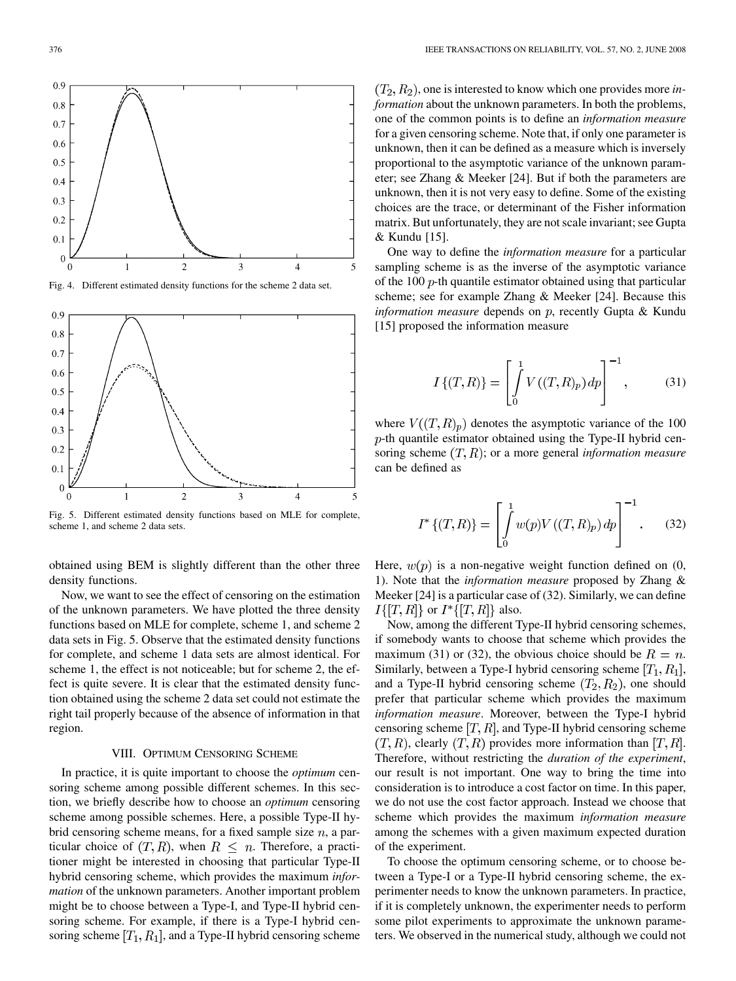

Fig. 4. Different estimated density functions for the scheme 2 data set.



Fig. 5. Different estimated density functions based on MLE for complete, scheme 1, and scheme 2 data sets.

obtained using BEM is slightly different than the other three density functions.

Now, we want to see the effect of censoring on the estimation of the unknown parameters. We have plotted the three density functions based on MLE for complete, scheme 1, and scheme 2 data sets in Fig. 5. Observe that the estimated density functions for complete, and scheme 1 data sets are almost identical. For scheme 1, the effect is not noticeable; but for scheme 2, the effect is quite severe. It is clear that the estimated density function obtained using the scheme 2 data set could not estimate the right tail properly because of the absence of information in that region.

## VIII. OPTIMUM CENSORING SCHEME

In practice, it is quite important to choose the *optimum* censoring scheme among possible different schemes. In this section, we briefly describe how to choose an *optimum* censoring scheme among possible schemes. Here, a possible Type-II hybrid censoring scheme means, for a fixed sample size  $n$ , a particular choice of  $(T, R)$ , when  $R \leq n$ . Therefore, a practitioner might be interested in choosing that particular Type-II hybrid censoring scheme, which provides the maximum *information* of the unknown parameters. Another important problem might be to choose between a Type-I, and Type-II hybrid censoring scheme. For example, if there is a Type-I hybrid censoring scheme  $[T_1, R_1]$ , and a Type-II hybrid censoring scheme

 $(T_2, R_2)$ , one is interested to know which one provides more *information* about the unknown parameters. In both the problems, one of the common points is to define an *information measure* for a given censoring scheme. Note that, if only one parameter is unknown, then it can be defined as a measure which is inversely proportional to the asymptotic variance of the unknown parameter; see Zhang & Meeker [24]. But if both the parameters are unknown, then it is not very easy to define. Some of the existing choices are the trace, or determinant of the Fisher information matrix. But unfortunately, they are not scale invariant; see Gupta & Kundu [15].

One way to define the *information measure* for a particular sampling scheme is as the inverse of the asymptotic variance of the 100  $p$ -th quantile estimator obtained using that particular scheme; see for example Zhang & Meeker [24]. Because this *information measure* depends on p, recently Gupta & Kundu [15] proposed the information measure

$$
I\{(T,R)\} = \left[\int_{0}^{1} V((T,R)_p) dp\right]^{-1},\tag{31}
$$

where  $V((T,R)_p)$  denotes the asymptotic variance of the 100  $p$ -th quantile estimator obtained using the Type-II hybrid censoring scheme  $(T, R)$ ; or a more general *information measure* can be defined as

$$
I^*\{(T,R)\} = \left[\int_0^1 w(p)V((T,R)_p) dp\right]^{-1}.
$$
 (32)

Here,  $w(p)$  is a non-negative weight function defined on  $(0, 0)$ 1). Note that the *information measure* proposed by Zhang & Meeker [24] is a particular case of (32). Similarly, we can define  $I\{[T,R]\}\$  or  $I^*\{[T,R]\}\$  also.

Now, among the different Type-II hybrid censoring schemes, if somebody wants to choose that scheme which provides the maximum (31) or (32), the obvious choice should be  $R = n$ . Similarly, between a Type-I hybrid censoring scheme  $[T_1, R_1]$ , and a Type-II hybrid censoring scheme  $(T_2, R_2)$ , one should prefer that particular scheme which provides the maximum *information measure*. Moreover, between the Type-I hybrid censoring scheme  $[T, R]$ , and Type-II hybrid censoring scheme  $(T, R)$ , clearly  $(T, R)$  provides more information than  $[T, R]$ . Therefore, without restricting the *duration of the experiment*, our result is not important. One way to bring the time into consideration is to introduce a cost factor on time. In this paper, we do not use the cost factor approach. Instead we choose that scheme which provides the maximum *information measure* among the schemes with a given maximum expected duration of the experiment.

To choose the optimum censoring scheme, or to choose between a Type-I or a Type-II hybrid censoring scheme, the experimenter needs to know the unknown parameters. In practice, if it is completely unknown, the experimenter needs to perform some pilot experiments to approximate the unknown parameters. We observed in the numerical study, although we could not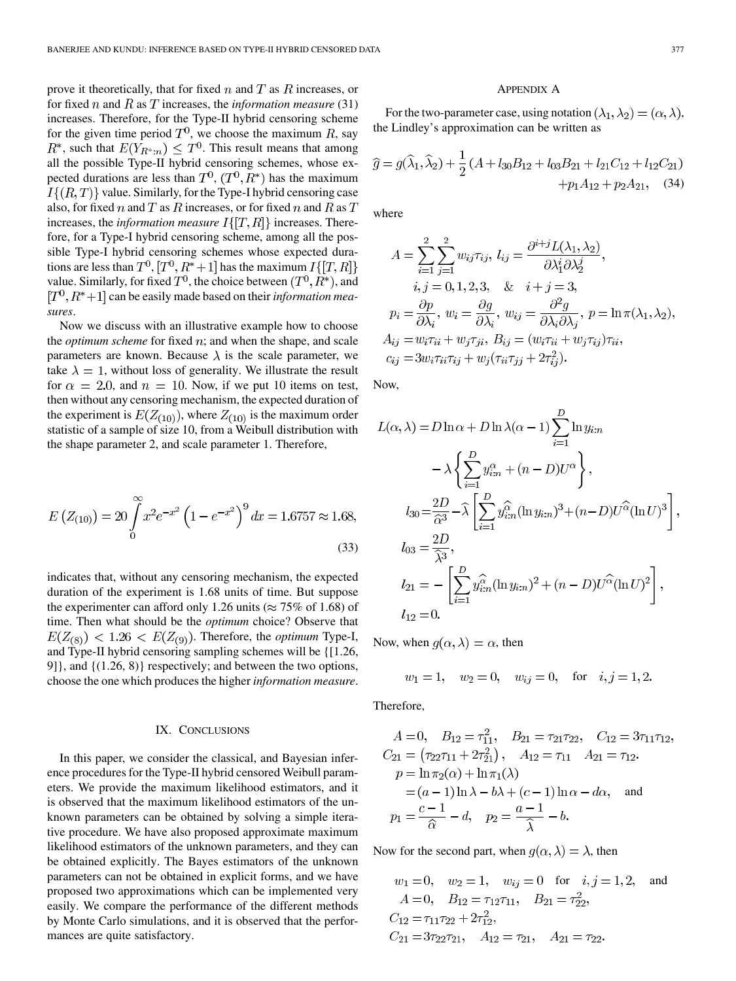prove it theoretically, that for fixed  $n$  and  $T$  as  $R$  increases, or for fixed n and R as T increases, the *information measure* (31) increases. Therefore, for the Type-II hybrid censoring scheme for the given time period  $T^0$ , we choose the maximum R, say , such that  $E(Y_{R^*,n}) \leq T^0$ . This result means that among all the possible Type-II hybrid censoring schemes, whose expected durations are less than  $T^0$ ,  $(T^0, R^*)$  has the maximum  $I\{(R,T)\}\$  value. Similarly, for the Type-I hybrid censoring case also, for fixed n and T as R increases, or for fixed n and R as T increases, the *information measure*  $I\{[T, R]\}$  increases. Therefore, for a Type-I hybrid censoring scheme, among all the possible Type-I hybrid censoring schemes whose expected durations are less than  $T^0$ ,  $[T^0, R^*+1]$  has the maximum  $I\{[T, R]\}$ value. Similarly, for fixed  $T^0$ , the choice between  $(T^0, R^*)$ , and  $[T<sup>0</sup>, R<sup>*</sup>+1]$  can be easily made based on their *information measures*.

Now we discuss with an illustrative example how to choose the *optimum scheme* for fixed  $n$ ; and when the shape, and scale parameters are known. Because  $\lambda$  is the scale parameter, we take  $\lambda = 1$ , without loss of generality. We illustrate the result for  $\alpha = 2.0$ , and  $n = 10$ . Now, if we put 10 items on test, then without any censoring mechanism, the expected duration of the experiment is  $E(Z_{(10)})$ , where  $Z_{(10)}$  is the maximum order statistic of a sample of size 10, from a Weibull distribution with the shape parameter 2, and scale parameter 1. Therefore,

$$
E\left(Z_{(10)}\right) = 20 \int_{0}^{\infty} x^{2} e^{-x^{2}} \left(1 - e^{-x^{2}}\right)^{9} dx = 1.6757 \approx 1.68,
$$
\n(33)

indicates that, without any censoring mechanism, the expected duration of the experiment is 1.68 units of time. But suppose the experimenter can afford only 1.26 units ( $\approx 75\%$  of 1.68) of time. Then what should be the *optimum* choice? Observe that  $E(Z_{(8)})$  < 1.26 <  $E(Z_{(9)})$ . Therefore, the *optimum* Type-I, and Type-II hybrid censoring sampling schemes will be {[1.26, 9]}, and {(1.26, 8)} respectively; and between the two options, choose the one which produces the higher *information measure*.

# IX. CONCLUSIONS

In this paper, we consider the classical, and Bayesian inference procedures for the Type-II hybrid censored Weibull parameters. We provide the maximum likelihood estimators, and it is observed that the maximum likelihood estimators of the unknown parameters can be obtained by solving a simple iterative procedure. We have also proposed approximate maximum likelihood estimators of the unknown parameters, and they can be obtained explicitly. The Bayes estimators of the unknown parameters can not be obtained in explicit forms, and we have proposed two approximations which can be implemented very easily. We compare the performance of the different methods by Monte Carlo simulations, and it is observed that the performances are quite satisfactory.

# APPENDIX A

For the two-parameter case, using notation  $(\lambda_1, \lambda_2) = (\alpha, \lambda)$ , the Lindley's approximation can be written as

$$
\widehat{g} = g(\widehat{\lambda}_1, \widehat{\lambda}_2) + \frac{1}{2} (A + l_{30}B_{12} + l_{03}B_{21} + l_{21}C_{12} + l_{12}C_{21})
$$
  
+  $p_1 A_{12} + p_2 A_{21}$ , (34)

where

$$
A = \sum_{i=1}^{2} \sum_{j=1}^{2} w_{ij} \tau_{ij}, l_{ij} = \frac{\partial^{i+j} L(\lambda_1, \lambda_2)}{\partial \lambda_1^i \partial \lambda_2^j},
$$
  
\n $i, j = 0, 1, 2, 3, \& i + j = 3,$   
\n $p_i = \frac{\partial p}{\partial \lambda_i}, w_i = \frac{\partial g}{\partial \lambda_i}, w_{ij} = \frac{\partial^2 g}{\partial \lambda_i \partial \lambda_j}, p = \ln \pi(\lambda_1, \lambda_2),$   
\n $A_{ij} = w_i \tau_{ii} + w_j \tau_{ji}, B_{ij} = (w_i \tau_{ii} + w_j \tau_{ij}) \tau_{ii},$   
\n $c_{ij} = 3w_i \tau_{ii} \tau_{ij} + w_j (\tau_{ii} \tau_{jj} + 2\tau_{ij}^2).$ 

Now,

$$
L(\alpha, \lambda) = D \ln \alpha + D \ln \lambda (\alpha - 1) \sum_{i=1}^{D} \ln y_{i:n}
$$
  
\n
$$
- \lambda \left\{ \sum_{i=1}^{D} y_{i:n}^{\alpha} + (n - D) U^{\alpha} \right\},
$$
  
\n
$$
l_{30} = \frac{2D}{\widehat{\alpha}^3} - \widehat{\lambda} \left[ \sum_{i=1}^{D} y_{i:n}^{\widehat{\alpha}} (\ln y_{i:n})^3 + (n - D) U^{\widehat{\alpha}} (\ln U)^3 \right],
$$
  
\n
$$
l_{03} = \frac{2D}{\widehat{\lambda}^3},
$$
  
\n
$$
l_{21} = - \left[ \sum_{i=1}^{D} y_{i:n}^{\widehat{\alpha}} (\ln y_{i:n})^2 + (n - D) U^{\widehat{\alpha}} (\ln U)^2 \right],
$$
  
\n
$$
l_{12} = 0.
$$

Now, when  $g(\alpha, \lambda) = \alpha$ , then

$$
w_1 = 1
$$
,  $w_2 = 0$ ,  $w_{ij} = 0$ , for  $i, j = 1, 2$ .

Therefore,

$$
A = 0, \quad B_{12} = \tau_{11}^2, \quad B_{21} = \tau_{21}\tau_{22}, \quad C_{12} = 3\tau_{11}\tau_{12},
$$
  
\n
$$
C_{21} = (\tau_{22}\tau_{11} + 2\tau_{21}^2), \quad A_{12} = \tau_{11} \quad A_{21} = \tau_{12}.
$$
  
\n
$$
p = \ln \pi_2(\alpha) + \ln \pi_1(\lambda)
$$
  
\n
$$
= (a - 1)\ln \lambda - b\lambda + (c - 1)\ln \alpha - d\alpha, \quad \text{and}
$$
  
\n
$$
p_1 = \frac{c - 1}{\widehat{\alpha}} - d, \quad p_2 = \frac{a - 1}{\widehat{\lambda}} - b.
$$

Now for the second part, when  $g(\alpha, \lambda) = \lambda$ , then

$$
w_1 = 0
$$
,  $w_2 = 1$ ,  $w_{ij} = 0$  for  $i, j = 1, 2$ , and  
\n $A = 0$ ,  $B_{12} = \tau_{12}\tau_{11}$ ,  $B_{21} = \tau_{22}^2$ ,  
\n $C_{12} = \tau_{11}\tau_{22} + 2\tau_{12}^2$ ,  
\n $C_{21} = 3\tau_{22}\tau_{21}$ ,  $A_{12} = \tau_{21}$ ,  $A_{21} = \tau_{22}$ .